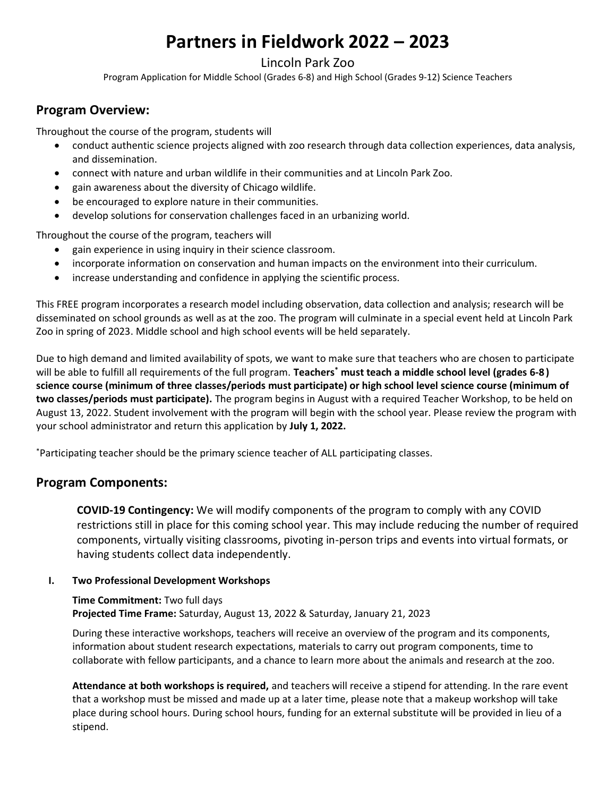# **Partners in Fieldwork 2022 – 2023**

### Lincoln Park Zoo

Program Application for Middle School (Grades 6-8) and High School (Grades 9-12) Science Teachers

# **Program Overview:**

Throughout the course of the program, students will

- conduct authentic science projects aligned with zoo research through data collection experiences, data analysis, and dissemination.
- connect with nature and urban wildlife in their communities and at Lincoln Park Zoo.
- gain awareness about the diversity of Chicago wildlife.
- be encouraged to explore nature in their communities.
- develop solutions for conservation challenges faced in an urbanizing world.

Throughout the course of the program, teachers will

- gain experience in using inquiry in their science classroom.
- incorporate information on conservation and human impacts on the environment into their curriculum.
- increase understanding and confidence in applying the scientific process.

This FREE program incorporates a research model including observation, data collection and analysis; research will be disseminated on school grounds as well as at the zoo. The program will culminate in a special event held at Lincoln Park Zoo in spring of 2023. Middle school and high school events will be held separately.

Due to high demand and limited availability of spots, we want to make sure that teachers who are chosen to participate will be able to fulfill all requirements of the full program. **Teachers\* must teach a middle school level (grades 6-8 ) science course (minimum of three classes/periods must participate) or high school level science course (minimum of two classes/periods must participate).** The program begins in August with a required Teacher Workshop, to be held on August 13, 2022. Student involvement with the program will begin with the school year. Please review the program with your school administrator and return this application by **July 1, 2022.**

\*Participating teacher should be the primary science teacher of ALL participating classes.

# **Program Components:**

**COVID-19 Contingency:** We will modify components of the program to comply with any COVID restrictions still in place for this coming school year. This may include reducing the number of required components, virtually visiting classrooms, pivoting in-person trips and events into virtual formats, or having students collect data independently.

#### **I. Two Professional Development Workshops**

**Time Commitment:** Two full days **Projected Time Frame:** Saturday, August 13, 2022 & Saturday, January 21, 2023

During these interactive workshops, teachers will receive an overview of the program and its components, information about student research expectations, materials to carry out program components, time to collaborate with fellow participants, and a chance to learn more about the animals and research at the zoo.

**Attendance at both workshops is required,** and teachers will receive a stipend for attending. In the rare event that a workshop must be missed and made up at a later time, please note that a makeup workshop will take place during school hours. During school hours, funding for an external substitute will be provided in lieu of a stipend.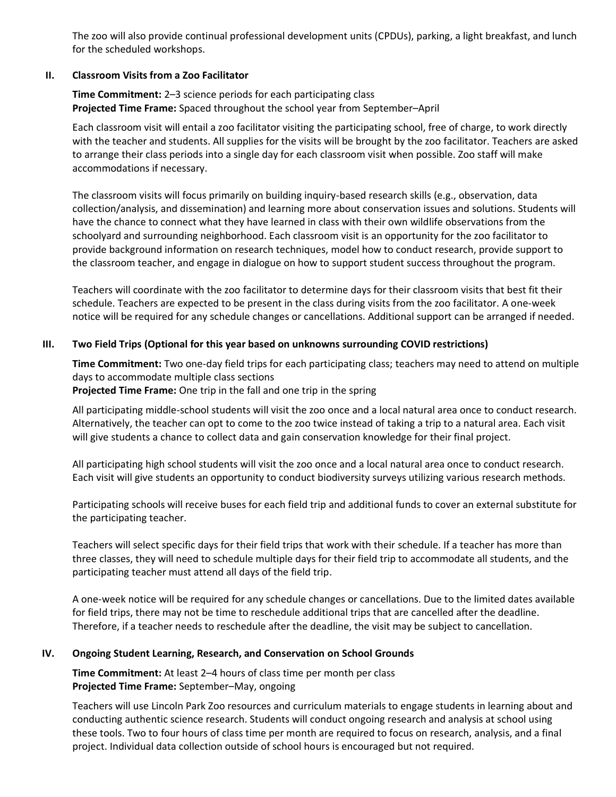The zoo will also provide continual professional development units (CPDUs), parking, a light breakfast, and lunch for the scheduled workshops.

#### **II. Classroom Visits from a Zoo Facilitator**

**Time Commitment:** 2–3 science periods for each participating class **Projected Time Frame:** Spaced throughout the school year from September–April

Each classroom visit will entail a zoo facilitator visiting the participating school, free of charge, to work directly with the teacher and students. All supplies for the visits will be brought by the zoo facilitator. Teachers are asked to arrange their class periods into a single day for each classroom visit when possible. Zoo staff will make accommodations if necessary.

The classroom visits will focus primarily on building inquiry-based research skills (e.g., observation, data collection/analysis, and dissemination) and learning more about conservation issues and solutions. Students will have the chance to connect what they have learned in class with their own wildlife observations from the schoolyard and surrounding neighborhood. Each classroom visit is an opportunity for the zoo facilitator to provide background information on research techniques, model how to conduct research, provide support to the classroom teacher, and engage in dialogue on how to support student success throughout the program.

Teachers will coordinate with the zoo facilitator to determine days for their classroom visits that best fit their schedule. Teachers are expected to be present in the class during visits from the zoo facilitator. A one-week notice will be required for any schedule changes or cancellations. Additional support can be arranged if needed.

#### **III. Two Field Trips (Optional for this year based on unknowns surrounding COVID restrictions)**

**Time Commitment:** Two one-day field trips for each participating class; teachers may need to attend on multiple days to accommodate multiple class sections **Projected Time Frame:** One trip in the fall and one trip in the spring

All participating middle-school students will visit the zoo once and a local natural area once to conduct research. Alternatively, the teacher can opt to come to the zoo twice instead of taking a trip to a natural area. Each visit will give students a chance to collect data and gain conservation knowledge for their final project.

All participating high school students will visit the zoo once and a local natural area once to conduct research. Each visit will give students an opportunity to conduct biodiversity surveys utilizing various research methods.

Participating schools will receive buses for each field trip and additional funds to cover an external substitute for the participating teacher.

Teachers will select specific days for their field trips that work with their schedule. If a teacher has more than three classes, they will need to schedule multiple days for their field trip to accommodate all students, and the participating teacher must attend all days of the field trip.

A one-week notice will be required for any schedule changes or cancellations. Due to the limited dates available for field trips, there may not be time to reschedule additional trips that are cancelled after the deadline. Therefore, if a teacher needs to reschedule after the deadline, the visit may be subject to cancellation.

#### **IV. Ongoing Student Learning, Research, and Conservation on School Grounds**

**Time Commitment:** At least 2–4 hours of class time per month per class **Projected Time Frame:** September–May, ongoing

Teachers will use Lincoln Park Zoo resources and curriculum materials to engage students in learning about and conducting authentic science research. Students will conduct ongoing research and analysis at school using these tools. Two to four hours of class time per month are required to focus on research, analysis, and a final project. Individual data collection outside of school hours is encouraged but not required.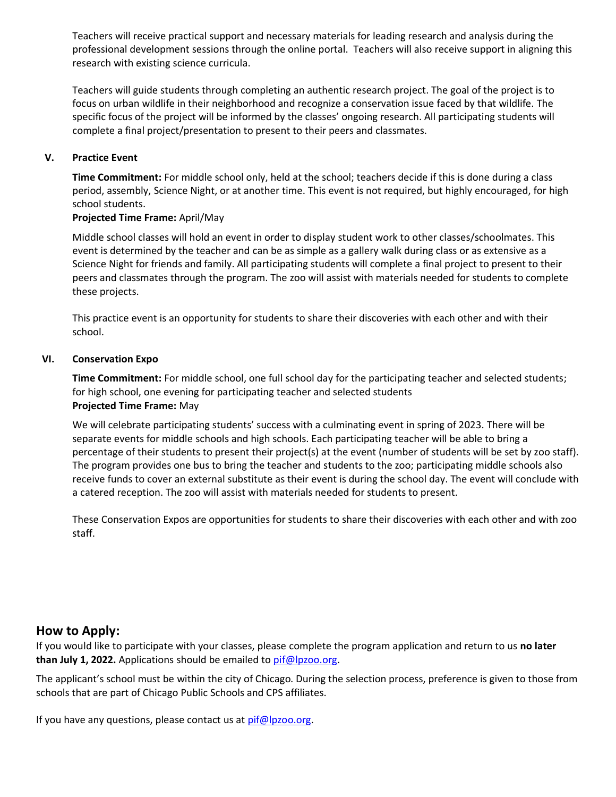Teachers will receive practical support and necessary materials for leading research and analysis during the professional development sessions through the online portal. Teachers will also receive support in aligning this research with existing science curricula.

Teachers will guide students through completing an authentic research project. The goal of the project is to focus on urban wildlife in their neighborhood and recognize a conservation issue faced by that wildlife. The specific focus of the project will be informed by the classes' ongoing research. All participating students will complete a final project/presentation to present to their peers and classmates.

#### **V. Practice Event**

**Time Commitment:** For middle school only, held at the school; teachers decide if this is done during a class period, assembly, Science Night, or at another time. This event is not required, but highly encouraged, for high school students.

#### **Projected Time Frame:** April/May

Middle school classes will hold an event in order to display student work to other classes/schoolmates. This event is determined by the teacher and can be as simple as a gallery walk during class or as extensive as a Science Night for friends and family. All participating students will complete a final project to present to their peers and classmates through the program. The zoo will assist with materials needed for students to complete these projects.

This practice event is an opportunity for students to share their discoveries with each other and with their school.

#### **VI. Conservation Expo**

**Time Commitment:** For middle school, one full school day for the participating teacher and selected students; for high school, one evening for participating teacher and selected students **Projected Time Frame:** May

We will celebrate participating students' success with a culminating event in spring of 2023. There will be separate events for middle schools and high schools. Each participating teacher will be able to bring a percentage of their students to present their project(s) at the event (number of students will be set by zoo staff). The program provides one bus to bring the teacher and students to the zoo; participating middle schools also receive funds to cover an external substitute as their event is during the school day. The event will conclude with a catered reception. The zoo will assist with materials needed for students to present.

These Conservation Expos are opportunities for students to share their discoveries with each other and with zoo staff.

# **How to Apply:**

If you would like to participate with your classes, please complete the program application and return to us **no later than July 1, 2022.** Applications should be emailed to [pif@lpzoo.org.](mailto:pif@lpzoo.org)

The applicant's school must be within the city of Chicago. During the selection process, preference is given to those from schools that are part of Chicago Public Schools and CPS affiliates.

If you have any questions, please contact us at  $pi@lpzoo.org$ .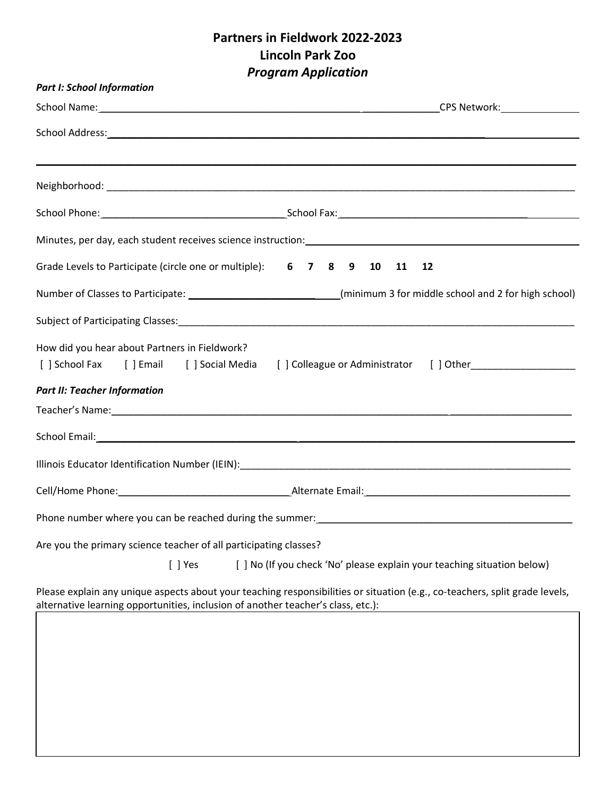# **Partners in Fieldwork 2022-2023 Lincoln Park Zoo** *Program Application*

| <b>Part I: School Information</b>                                 |                                                                                                                             |
|-------------------------------------------------------------------|-----------------------------------------------------------------------------------------------------------------------------|
|                                                                   |                                                                                                                             |
|                                                                   |                                                                                                                             |
|                                                                   |                                                                                                                             |
|                                                                   |                                                                                                                             |
|                                                                   |                                                                                                                             |
|                                                                   | Grade Levels to Participate (circle one or multiple): 6 7 8 9 10 11<br>12                                                   |
|                                                                   | Number of Classes to Participate: ________________________________(minimum 3 for middle school and 2 for high school)       |
|                                                                   |                                                                                                                             |
| How did you hear about Partners in Fieldwork?                     | [ ] School Fax [ ] Email [ ] Social Media [ ] Colleague or Administrator [ ] Other_________________                         |
| <b>Part II: Teacher Information</b>                               |                                                                                                                             |
|                                                                   |                                                                                                                             |
|                                                                   |                                                                                                                             |
|                                                                   |                                                                                                                             |
|                                                                   | Cell/Home Phone: 2008 Cell/Home Phone: 2008 Cell/Home Phone: 2018 Cell/Home Phone: 2018 Cell/Home Phone: 2018               |
|                                                                   |                                                                                                                             |
| Are you the primary science teacher of all participating classes? |                                                                                                                             |
| $[ ]$ Yes                                                         | [ ] No (If you check 'No' please explain your teaching situation below)                                                     |
|                                                                   | Please explain any unique aspects about your teaching responsibilities or situation (e.g., co-teachers, split grade levels, |

alternative learning opportunities, inclusion of another teacher's class, etc.):